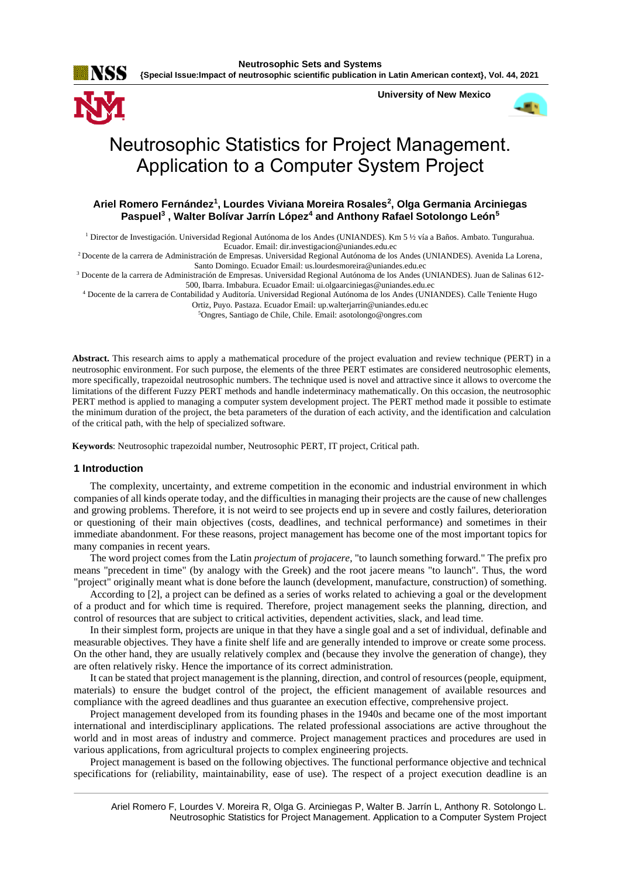

**University of New Mexico**



# Neutrosophic Statistics for Project Management. Application to a Computer System Project

# **Ariel Romero Fernández<sup>1</sup> , Lourdes Viviana Moreira Rosales<sup>2</sup> , Olga Germania Arciniegas Paspuel<sup>3</sup> , Walter Bolívar Jarrín López<sup>4</sup> and Anthony Rafael Sotolongo León<sup>5</sup>**

<sup>1</sup> Director de Investigación. Universidad Regional Autónoma de los Andes (UNIANDES). Km 5 ½ vía a Baños. Ambato. Tungurahua. Ecuador. Email[: dir.investigacion@uniandes.edu.ec](mailto:dir.investigacion@uniandes.edu.ec)

<sup>2</sup>Docente de la carrera de Administración de Empresas. Universidad Regional Autónoma de los Andes (UNIANDES). Avenida La Lorena, Santo Domingo. Ecuador Email: [us.lourdesmoreira@uniandes.edu.ec](mailto:us.lourdesmoreira@uniandes.edu.ec)

<sup>3</sup> Docente de la carrera de Administración de Empresas. Universidad Regional Autónoma de los Andes (UNIANDES). Juan de Salinas 612- 500, Ibarra. Imbabura. Ecuador Email: [ui.olgaarciniegas@uniandes.edu.ec](mailto:ui.olgaarciniegas@uniandes.edu.ec)

<sup>4</sup> Docente de la carrera de Contabilidad y Auditoría. Universidad Regional Autónoma de los Andes (UNIANDES). Calle Teniente Hugo

Ortiz, Puyo. Pastaza. Ecuador Email: [up.walterjarrin@uniandes.edu.ec](mailto:up.walterjarrin@uniandes.edu.ec)

<sup>5</sup>Ongres, Santiago de Chile, Chile. Email[: asotolongo@ongres.com](mailto:asotolongo@ongres.com)

**Abstract.** This research aims to apply a mathematical procedure of the project evaluation and review technique (PERT) in a neutrosophic environment. For such purpose, the elements of the three PERT estimates are considered neutrosophic elements, more specifically, trapezoidal neutrosophic numbers. The technique used is novel and attractive since it allows to overcome the limitations of the different Fuzzy PERT methods and handle indeterminacy mathematically. On this occasion, the neutrosophic PERT method is applied to managing a computer system development project. The PERT method made it possible to estimate the minimum duration of the project, the beta parameters of the duration of each activity, and the identification and calculation of the critical path, with the help of specialized software.

**Keywords**: Neutrosophic trapezoidal number, Neutrosophic PERT, IT project, Critical path.

## **1 Introduction**

The complexity, uncertainty, and extreme competition in the economic and industrial environment in which companies of all kinds operate today, and the difficulties in managing their projects are the cause of new challenges and growing problems. Therefore, it is not weird to see projects end up in severe and costly failures, deterioration or questioning of their main objectives (costs, deadlines, and technical performance) and sometimes in their immediate abandonment. For these reasons, project management has become one of the most important topics for many companies in recent years.

The word project comes from the Latin *projectum* of *projacere*, "to launch something forward." The prefix pro means "precedent in time" (by analogy with the Greek) and the root jacere means "to launch". Thus, the word "project" originally meant what is done before the launch (development, manufacture, construction) of something.

According to [2], a project can be defined as a series of works related to achieving a goal or the development of a product and for which time is required. Therefore, project management seeks the planning, direction, and control of resources that are subject to critical activities, dependent activities, slack, and lead time.

In their simplest form, projects are unique in that they have a single goal and a set of individual, definable and measurable objectives. They have a finite shelf life and are generally intended to improve or create some process. On the other hand, they are usually relatively complex and (because they involve the generation of change), they are often relatively risky. Hence the importance of its correct administration.

It can be stated that project management is the planning, direction, and control of resources (people, equipment, materials) to ensure the budget control of the project, the efficient management of available resources and compliance with the agreed deadlines and thus guarantee an execution effective, comprehensive project.

Project management developed from its founding phases in the 1940s and became one of the most important international and interdisciplinary applications. The related professional associations are active throughout the world and in most areas of industry and commerce. Project management practices and procedures are used in various applications, from agricultural projects to complex engineering projects.

Project management is based on the following objectives. The functional performance objective and technical specifications for (reliability, maintainability, ease of use). The respect of a project execution deadline is an

Ariel Romero F, Lourdes V. Moreira R, Olga G. Arciniegas P, Walter B. Jarrín L, Anthony R. Sotolongo L. Neutrosophic Statistics for Project Management. Application to a Computer System Project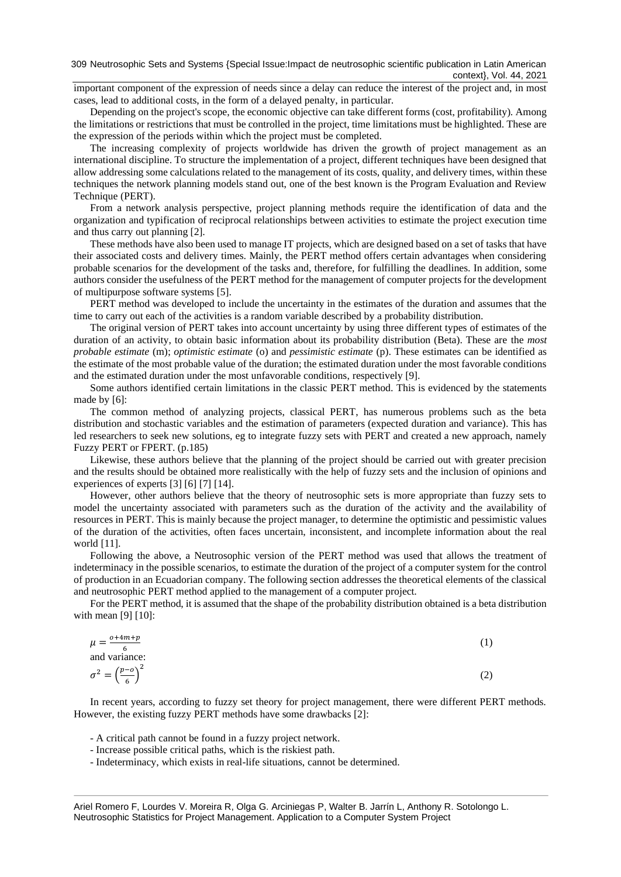309 Neutrosophic Sets and Systems {Special Issue: Impact de neutrosophic scientific publication in Latin American context}, Vol. 44, 2021

important component of the expression of needs since a delay can reduce the interest of the project and, in most cases, lead to additional costs, in the form of a delayed penalty, in particular.

Depending on the project's scope, the economic objective can take different forms (cost, profitability). Among the limitations or restrictions that must be controlled in the project, time limitations must be highlighted. These are the expression of the periods within which the project must be completed.

The increasing complexity of projects worldwide has driven the growth of project management as an international discipline. To structure the implementation of a project, different techniques have been designed that allow addressing some calculations related to the management of its costs, quality, and delivery times, within these techniques the network planning models stand out, one of the best known is the Program Evaluation and Review Technique (PERT).

From a network analysis perspective, project planning methods require the identification of data and the organization and typification of reciprocal relationships between activities to estimate the project execution time and thus carry out planning [2].

These methods have also been used to manage IT projects, which are designed based on a set of tasks that have their associated costs and delivery times. Mainly, the PERT method offers certain advantages when considering probable scenarios for the development of the tasks and, therefore, for fulfilling the deadlines. In addition, some authors consider the usefulness of the PERT method for the management of computer projects for the development of multipurpose software systems [5].

PERT method was developed to include the uncertainty in the estimates of the duration and assumes that the time to carry out each of the activities is a random variable described by a probability distribution.

The original version of PERT takes into account uncertainty by using three different types of estimates of the duration of an activity, to obtain basic information about its probability distribution (Beta). These are the *most probable estimate* (m); *optimistic estimate* (o) and *pessimistic estimate* (p). These estimates can be identified as the estimate of the most probable value of the duration; the estimated duration under the most favorable conditions and the estimated duration under the most unfavorable conditions, respectively [9].

Some authors identified certain limitations in the classic PERT method. This is evidenced by the statements made by [6]:

The common method of analyzing projects, classical PERT, has numerous problems such as the beta distribution and stochastic variables and the estimation of parameters (expected duration and variance). This has led researchers to seek new solutions, eg to integrate fuzzy sets with PERT and created a new approach, namely Fuzzy PERT or FPERT. (p.185)

Likewise, these authors believe that the planning of the project should be carried out with greater precision and the results should be obtained more realistically with the help of fuzzy sets and the inclusion of opinions and experiences of experts [3] [6] [7] [14].

However, other authors believe that the theory of neutrosophic sets is more appropriate than fuzzy sets to model the uncertainty associated with parameters such as the duration of the activity and the availability of resources in PERT. This is mainly because the project manager, to determine the optimistic and pessimistic values of the duration of the activities, often faces uncertain, inconsistent, and incomplete information about the real world [11].

Following the above, a Neutrosophic version of the PERT method was used that allows the treatment of indeterminacy in the possible scenarios, to estimate the duration of the project of a computer system for the control of production in an Ecuadorian company. The following section addresses the theoretical elements of the classical and neutrosophic PERT method applied to the management of a computer project.

For the PERT method, it is assumed that the shape of the probability distribution obtained is a beta distribution with mean [9] [10]:

$$
\mu = \frac{o + 4m + p}{6}
$$
\n(1)

\nand variance:

\n
$$
\sigma^2 = \left(\frac{p - o}{6}\right)^2
$$
\n(2)

In recent years, according to fuzzy set theory for project management, there were different PERT methods. However, the existing fuzzy PERT methods have some drawbacks [2]:

- A critical path cannot be found in a fuzzy project network.
- Increase possible critical paths, which is the riskiest path.
- Indeterminacy, which exists in real-life situations, cannot be determined.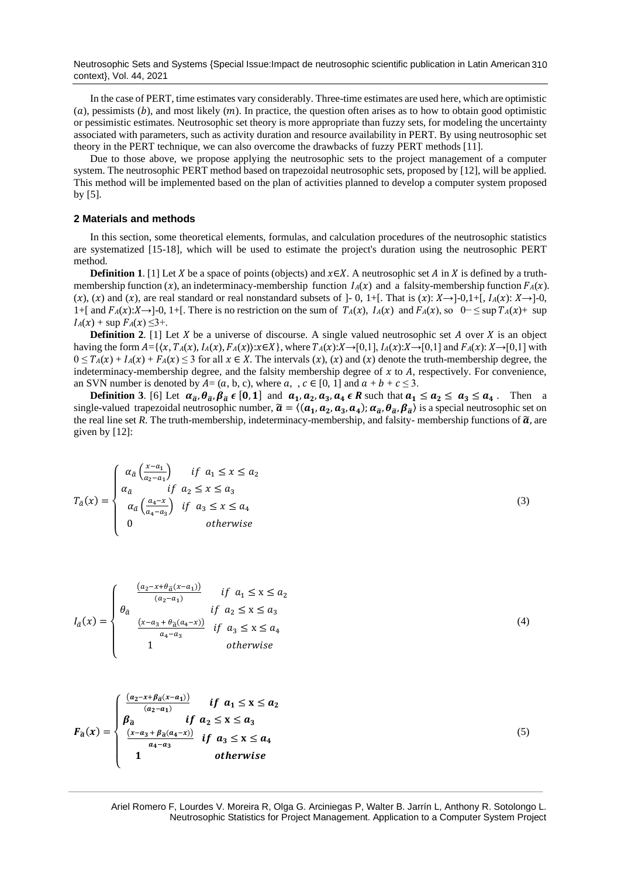Neutrosophic Sets and Systems {Special Issue:Impact de neutrosophic scientific publication in Latin American 310 context}, Vol. 44, 2021

In the case of PERT, time estimates vary considerably. Three-time estimates are used here, which are optimistic (a), pessimists (b), and most likely (m). In practice, the question often arises as to how to obtain good optimistic or pessimistic estimates. Neutrosophic set theory is more appropriate than fuzzy sets, for modeling the uncertainty associated with parameters, such as activity duration and resource availability in PERT. By using neutrosophic set theory in the PERT technique, we can also overcome the drawbacks of fuzzy PERT methods [11].

Due to those above, we propose applying the neutrosophic sets to the project management of a computer system. The neutrosophic PERT method based on trapezoidal neutrosophic sets, proposed by [12], will be applied. This method will be implemented based on the plan of activities planned to develop a computer system proposed by [5].

#### **2 Materials and methods**

 $\overline{\mathcal{L}}$  $\overline{1}$  $\overline{1}$ 

 $a_4 - a_3$ 

1 otherwise

In this section, some theoretical elements, formulas, and calculation procedures of the neutrosophic statistics are systematized [15-18], which will be used to estimate the project's duration using the neutrosophic PERT method.

**Definition 1**. [1] Let *X* be a space of points (objects) and  $x \in X$ . A neutrosophic set *A* in *X* is defined by a truthmembership function  $(x)$ , an indeterminacy-membership function  $I_A(x)$  and a falsity-membership function  $F_A(x)$ .  $(x)$ ,  $(x)$  and  $(x)$ , are real standard or real nonstandard subsets of ]-0, 1+[. That is  $(x): X \rightarrow ]-0,1+[$ ,  $I_A(x): X \rightarrow ]-0,$ 1+[ and  $F_A(x):X\rightarrow 0$ , 1+[. There is no restriction on the sum of  $T_A(x)$ ,  $I_A(x)$  and  $F_A(x)$ , so  $0-\leq \sup T_A(x)+ \sup$  $I_A(x)$  + sup  $F_A(x) \leq 3+$ .

**Definition 2.** [1] Let  $X$  be a universe of discourse. A single valued neutrosophic set  $A$  over  $X$  is an object having the form  $A = \{ \langle x, T_A(x), I_A(x), F_A(x) \rangle : x \in X \}$ , where  $T_A(x): X \rightarrow [0,1], I_A(x): X \rightarrow [0,1]$  and  $F_A(x): X \rightarrow [0,1]$  with  $0 \leq T_A(x) + I_A(x) + F_A(x) \leq 3$  for all  $x \in X$ . The intervals  $(x)$ ,  $(x)$  and  $(x)$  denote the truth-membership degree, the indeterminacy-membership degree, and the falsity membership degree of  $x$  to  $A$ , respectively. For convenience, an SVN number is denoted by  $A = (a, b, c)$ , where  $a, , c \in [0, 1]$  and  $a + b + c \le 3$ .

**Definition 3**. [6] Let  $\alpha_{\tilde{a}}, \theta_{\tilde{a}}, \beta_{\tilde{a}} \in [0,1]$  and  $\alpha_1, \alpha_2, \alpha_3, \alpha_4 \in \mathbb{R}$  such that  $\alpha_1 \leq \alpha_2 \leq \alpha_3 \leq \alpha_4$ . Then a single-valued trapezoidal neutrosophic number,  $\tilde{a} = \langle (a_1, a_2, a_3, a_4) ; \alpha_{\tilde{a}}, \theta_{\tilde{a}}, \beta_{\tilde{a}} \rangle$  is a special neutrosophic set on the real line set *R*. The truth-membership, indeterminacy-membership, and falsity-membership functions of  $\tilde{a}$ , are given by [12]:

$$
T_{\tilde{a}}(x) = \begin{cases} \alpha_{\tilde{a}} \left( \frac{x - a_1}{a_2 - a_1} \right) & \text{if } a_1 \le x \le a_2\\ \alpha_{\tilde{a}} & \text{if } a_2 \le x \le a_3\\ \alpha_{\tilde{a}} \left( \frac{a_4 - x}{a_4 - a_3} \right) & \text{if } a_3 \le x \le a_4\\ 0 & \text{otherwise} \end{cases}
$$
(3)

$$
I_{\tilde{a}}(x) = \begin{cases} \n\frac{(a_2 - x + \theta_{\tilde{a}}(x - a_1))}{(a_2 - a_1)} & \text{if } a_1 \le x \le a_2 \\
\theta_{\tilde{a}} & \text{if } a_2 \le x \le a_3 \\
\frac{(x - a_3 + \theta_{\tilde{a}}(a_4 - x))}{a_4 - a_3} & \text{if } a_3 \le x \le a_4 \\
1 & \text{otherwise}\n\end{cases} \tag{4}
$$
\n
$$
F_{\tilde{a}}(x) = \begin{cases} \n\frac{(a_2 - x + \beta_{\tilde{a}}(x - a_1))}{(a_2 - a_1)} & \text{if } a_1 \le x \le a_2 \\
\beta_{\tilde{a}} & \text{if } a_2 \le x \le a_3 \\
\frac{(x - a_3 + \beta_{\tilde{a}}(a_4 - x))}{(a_2 - a_1)} & \text{if } a_3 \le x \le a_4\n\end{cases} \tag{5}
$$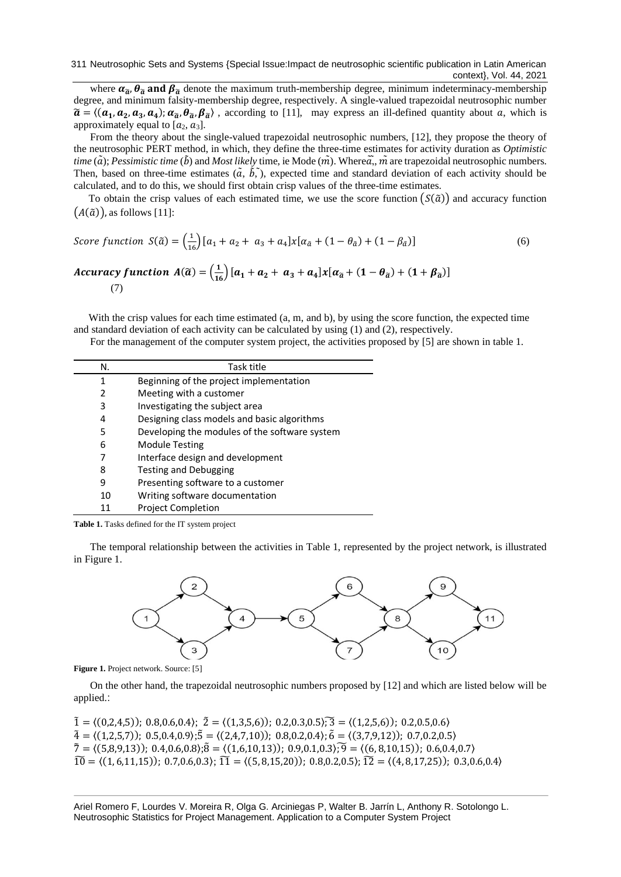where  $\alpha_{\tilde{a}}$ ,  $\theta_{\tilde{a}}$  and  $\beta_{\tilde{a}}$  denote the maximum truth-membership degree, minimum indeterminacy-membership degree, and minimum falsity-membership degree, respectively. A single-valued trapezoidal neutrosophic number  $\tilde{a} = \langle (a_1, a_2, a_3, a_4); \alpha_{\tilde{a}}, \theta_{\tilde{a}}, \beta_{\tilde{a}} \rangle$ , according to [11], may express an ill-defined quantity about a, which is approximately equal to  $[a_2, a_3]$ .

From the theory about the single-valued trapezoidal neutrosophic numbers, [12], they propose the theory of the neutrosophic PERT method, in which, they define the three-time estimates for activity duration as *Optimistic time* ( $\tilde{a}$ ); *Pessimistic time* ( $\tilde{b}$ ) and *Most likely* time, ie Mode ( $\tilde{m}$ ). Where $\tilde{a}$ ,  $\tilde{m}$  are trapezoidal neutrosophic numbers. Then, based on three-time estimates  $(\tilde{a}, \tilde{b}, \tilde{b})$ , expected time and standard deviation of each activity should be calculated, and to do this, we should first obtain crisp values of the three-time estimates.

To obtain the crisp values of each estimated time, we use the score function  $(S(\tilde{a}))$  and accuracy function  $(A(\tilde{a}))$ , as follows [11]:

$$
Score\ function\ S(\tilde{a}) = \left(\frac{1}{16}\right)[a_1 + a_2 + a_3 + a_4]x[a_{\tilde{a}} + (1 - \theta_{\tilde{a}}) + (1 - \beta_{\tilde{a}})]
$$
\n
$$
Accuracy\ function\ A(\tilde{a}) = \left(\frac{1}{16}\right)[a_1 + a_2 + a_3 + a_4]x[a_{\tilde{a}} + (1 - \theta_{\tilde{a}}) + (1 + \beta_{\tilde{a}})]
$$
\n
$$
(6)
$$

(7)

With the crisp values for each time estimated (a, m, and b), by using the score function, the expected time and standard deviation of each activity can be calculated by using (1) and (2), respectively.

For the management of the computer system project, the activities proposed by [5] are shown in table 1.

| N. | Task title                                    |
|----|-----------------------------------------------|
| 1  | Beginning of the project implementation       |
| 2  | Meeting with a customer                       |
| 3  | Investigating the subject area                |
| 4  | Designing class models and basic algorithms   |
| 5  | Developing the modules of the software system |
| 6  | <b>Module Testing</b>                         |
| 7  | Interface design and development              |
| 8  | <b>Testing and Debugging</b>                  |
| 9  | Presenting software to a customer             |
| 10 | Writing software documentation                |
| 11 | <b>Project Completion</b>                     |

**Table 1.** Tasks defined for the IT system project

The temporal relationship between the activities in Table 1, represented by the project network, is illustrated in Figure 1.



**Figure 1.** Project network. Source: [5]

On the other hand, the trapezoidal neutrosophic numbers proposed by [12] and which are listed below will be applied.:

 $\tilde{1} = \langle (0,2,4,5) \rangle$ ; 0.8,0.6,0.4);  $\tilde{2} = \langle (1,3,5,6) \rangle$ ; 0.2,0.3,0.5 $\tilde{)}$ ;  $\tilde{3} = \langle (1,2,5,6) \rangle$ ; 0.2,0.5,0.6 $\rangle$  $\tilde{4} = \langle (1,2,5,7) \rangle$ ; 0.5,0.4,0.9 $\rangle$ ; $\tilde{5} = \langle (2,4,7,10) \rangle$ ; 0.8,0.2,0.4 $\rangle$ ;  $\tilde{6} = \langle (3,7,9,12) \rangle$ ; 0.7,0.2,0.5 $\rangle$  $\tilde{7} = \langle (5,8,9,13) \rangle$ ; 0.4,0.6,0.8 $\rangle$ ; $\tilde{8} = \langle (1,6,10,13) \rangle$ ; 0.9,0.1,0.3 $\rangle$ ; $\tilde{9} = \langle (6,8,10,15) \rangle$ ; 0.6,0.4,0.7 $\rangle$  $\widetilde{10} = \langle (1, 6, 11, 15) \rangle$ ; 0.7,0.6,0.3 $\rangle$ ;  $\widetilde{11} = \langle (5, 8, 15, 20) \rangle$ ; 0.8,0.2,0.5 $\rangle$ ;  $\widetilde{12} = \langle (4, 8, 17, 25) \rangle$ ; 0.3,0.6,0.4 $\rangle$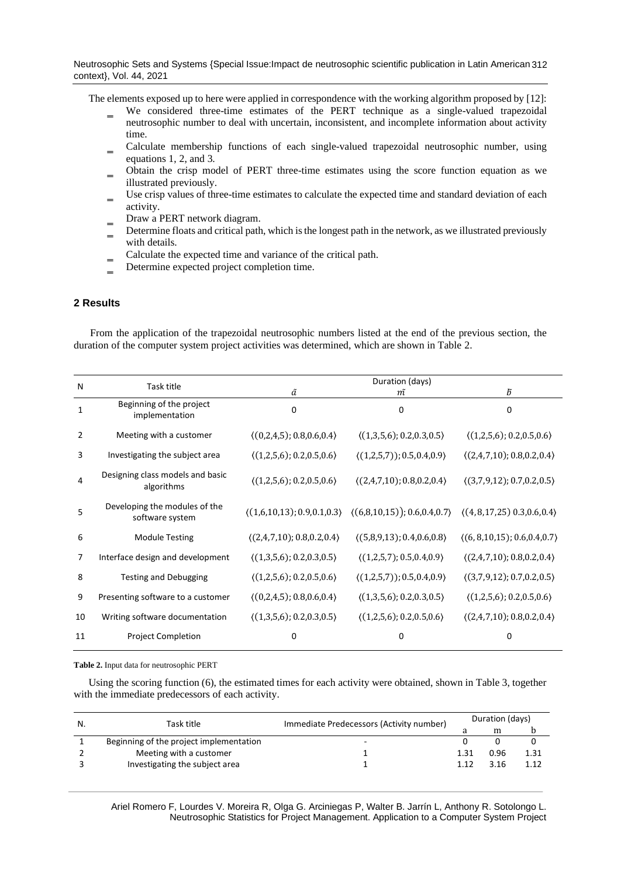The elements exposed up to here were applied in correspondence with the working algorithm proposed by [12]:

- We considered three-time estimates of the PERT technique as a single-valued trapezoidal neutrosophic number to deal with uncertain, inconsistent, and incomplete information about activity time.
- ‗ Calculate membership functions of each single-valued trapezoidal neutrosophic number, using equations 1, 2, and 3.
- ‗ Obtain the crisp model of PERT three-time estimates using the score function equation as we illustrated previously.
- Use crisp values of three-time estimates to calculate the expected time and standard deviation of each activity.
- Draw a PERT network diagram.
- ‗ Determine floats and critical path, which is the longest path in the network, as we illustrated previously with details.
- Calculate the expected time and variance of the critical path.
- Determine expected project completion time.

# **2 Results**

From the application of the trapezoidal neutrosophic numbers listed at the end of the previous section, the duration of the computer system project activities was determined, which are shown in Table 2.

| N              |                                                  | Duration (days)                             |                                                                                                                                          |                                                 |  |
|----------------|--------------------------------------------------|---------------------------------------------|------------------------------------------------------------------------------------------------------------------------------------------|-------------------------------------------------|--|
|                | Task title                                       | ã                                           | m                                                                                                                                        | ħ                                               |  |
| 1              | Beginning of the project<br>implementation       | $\Omega$                                    | $\Omega$                                                                                                                                 | 0                                               |  |
| 2              | Meeting with a customer                          | (0,2,4,5); 0.8,0.6,0.4)                     | $\langle (1,3,5,6); 0.2, 0.3, 0.5 \rangle$                                                                                               | $\langle (1,2,5,6); 0.2, 0.5, 0.6 \rangle$      |  |
| 3              | Investigating the subject area                   | $\langle (1,2,5,6); 0.2, 0.5, 0.6 \rangle$  | $(1,2,5,7)$ ; 0.5, 0.4, 0.9)                                                                                                             | $\langle (2,4,7,10); 0.8, 0.2, 0.4 \rangle$     |  |
| 4              | Designing class models and basic<br>algorithms   | $\langle (1,2,5,6); 0.2, 0.5, 0.6 \rangle$  | $\langle (2,4,7,10); 0.8, 0.2, 0.4 \rangle$                                                                                              | $\langle (3,7,9,12); 0.7, 0.2, 0.5 \rangle$     |  |
| 5              | Developing the modules of the<br>software system |                                             | $\langle (1,6,10,13); 0.9, 0.1, 0.3 \rangle$ $\langle (6,8,10,15); 0.6, 0.4, 0.7 \rangle$ $\langle (4, 8,17, 25); 0.3, 0.6, 0.4 \rangle$ |                                                 |  |
| 6              | <b>Module Testing</b>                            | $\langle (2,4,7,10); 0.8, 0.2, 0.4 \rangle$ | $(5,8,9,13)$ ; 0.4,0.6,0.8)                                                                                                              | $\langle (6, 8, 10, 15); 0.6, 0.4, 0.7 \rangle$ |  |
| $\overline{7}$ | Interface design and development                 | $\langle (1,3,5,6); 0.2, 0.3, 0.5 \rangle$  | $\langle (1,2,5,7); 0.5, 0.4, 0.9 \rangle$                                                                                               | $\langle (2,4,7,10); 0.8, 0.2, 0.4 \rangle$     |  |
| 8              | <b>Testing and Debugging</b>                     | $\langle (1,2,5,6); 0.2, 0.5, 0.6 \rangle$  | $\langle (1,2,5,7) \rangle$ ; 0.5, 0.4, 0.9)                                                                                             | $\langle (3,7,9,12); 0.7, 0.2, 0.5 \rangle$     |  |
| 9              | Presenting software to a customer                | (0,2,4,5); 0.8,0.6,0.4)                     | $\langle (1,3,5,6); 0.2, 0.3, 0.5 \rangle$                                                                                               | $\langle (1,2,5,6); 0.2, 0.5, 0.6 \rangle$      |  |
| 10             | Writing software documentation                   | $\langle (1,3,5,6); 0.2, 0.3, 0.5 \rangle$  | $\langle (1,2,5,6); 0.2, 0.5, 0.6 \rangle$                                                                                               | $\langle (2,4,7,10); 0.8, 0.2, 0.4 \rangle$     |  |
| 11             | <b>Project Completion</b>                        | <sup>0</sup>                                | 0                                                                                                                                        | O                                               |  |

**Table 2.** Input data for neutrosophic PERT

Using the scoring function (6), the estimated times for each activity were obtained, shown in Table 3, together with the immediate predecessors of each activity.

| N. | Task title                              | Immediate Predecessors (Activity number) | Duration (days) |      |      |
|----|-----------------------------------------|------------------------------------------|-----------------|------|------|
|    |                                         |                                          |                 | m    |      |
|    | Beginning of the project implementation | $\sim$                                   |                 |      |      |
|    | Meeting with a customer                 |                                          |                 | 0.96 | 1.31 |
|    | Investigating the subject area          |                                          |                 | 3.16 | 1.12 |
|    |                                         |                                          |                 |      |      |

Ariel Romero F, Lourdes V. Moreira R, Olga G. Arciniegas P, Walter B. Jarrín L, Anthony R. Sotolongo L. Neutrosophic Statistics for Project Management. Application to a Computer System Project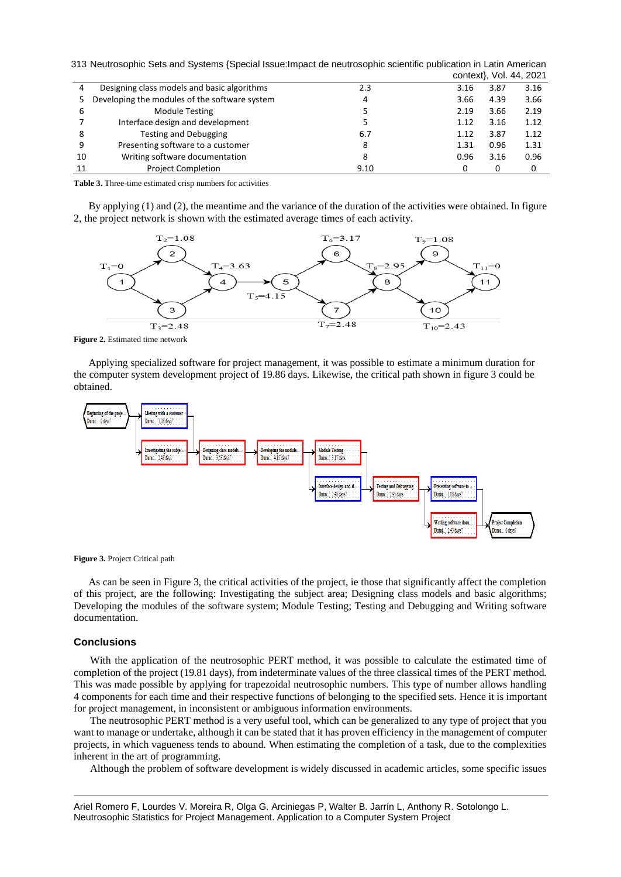| 313 Neutrosophic Sets and Systems {Special Issue: Impact de neutrosophic scientific publication in Latin American |  |  |
|-------------------------------------------------------------------------------------------------------------------|--|--|
|                                                                                                                   |  |  |

|    |                                               |      |      |              | context}, Vol. 44, 2021 |
|----|-----------------------------------------------|------|------|--------------|-------------------------|
| 4  | Designing class models and basic algorithms   | 2.3  | 3.16 | 3.87         | 3.16                    |
| 5. | Developing the modules of the software system | 4    | 3.66 | 4.39         | 3.66                    |
| 6  | <b>Module Testing</b>                         |      | 2.19 | 3.66         | 2.19                    |
|    | Interface design and development              |      | 1.12 | 3.16         | 1.12                    |
| 8  | <b>Testing and Debugging</b>                  | 6.7  | 1.12 | 3.87         | 1.12                    |
| 9  | Presenting software to a customer             | 8    | 1.31 | 0.96         | 1.31                    |
| 10 | Writing software documentation                | 8    | 0.96 | 3.16         | 0.96                    |
| 11 | <b>Project Completion</b>                     | 9.10 |      | <sup>0</sup> | 0                       |

**Table 3.** Three-time estimated crisp numbers for activities

By applying (1) and (2), the meantime and the variance of the duration of the activities were obtained. In figure 2, the project network is shown with the estimated average times of each activity.



**Figure 2.** Estimated time network

Applying specialized software for project management, it was possible to estimate a minimum duration for the computer system development project of 19.86 days. Likewise, the critical path shown in figure 3 could be obtained.



**Figure 3.** Project Critical path

As can be seen in Figure 3, the critical activities of the project, ie those that significantly affect the completion of this project, are the following: Investigating the subject area; Designing class models and basic algorithms; Developing the modules of the software system; Module Testing; Testing and Debugging and Writing software documentation.

### **Conclusions**

With the application of the neutrosophic PERT method, it was possible to calculate the estimated time of completion of the project (19.81 days), from indeterminate values of the three classical times of the PERT method. This was made possible by applying for trapezoidal neutrosophic numbers. This type of number allows handling 4 components for each time and their respective functions of belonging to the specified sets. Hence it is important for project management, in inconsistent or ambiguous information environments.

The neutrosophic PERT method is a very useful tool, which can be generalized to any type of project that you want to manage or undertake, although it can be stated that it has proven efficiency in the management of computer projects, in which vagueness tends to abound. When estimating the completion of a task, due to the complexities inherent in the art of programming.

Although the problem of software development is widely discussed in academic articles, some specific issues

Ariel Romero F, Lourdes V. Moreira R, Olga G. Arciniegas P, Walter B. Jarrín L, Anthony R. Sotolongo L. Neutrosophic Statistics for Project Management. Application to a Computer System Project